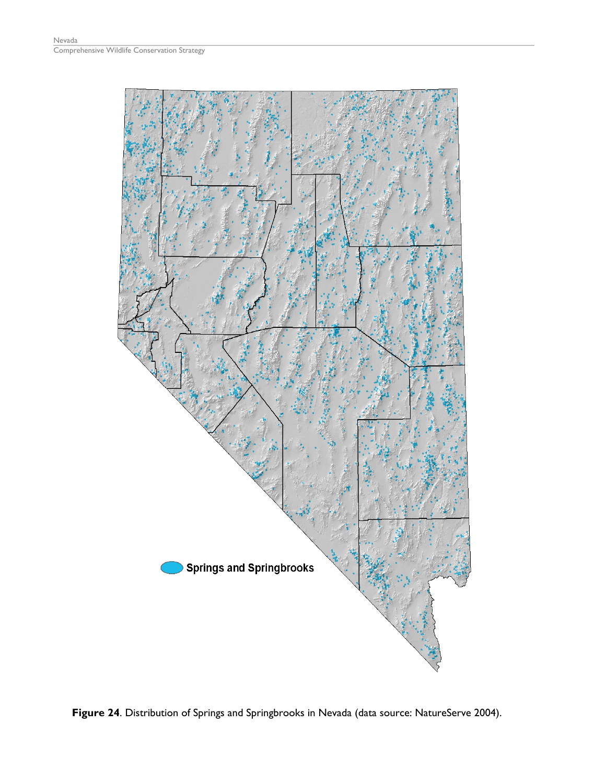

**Figure 24**. Distribution of Springs and Springbrooks in Nevada (data source: NatureServe 2004).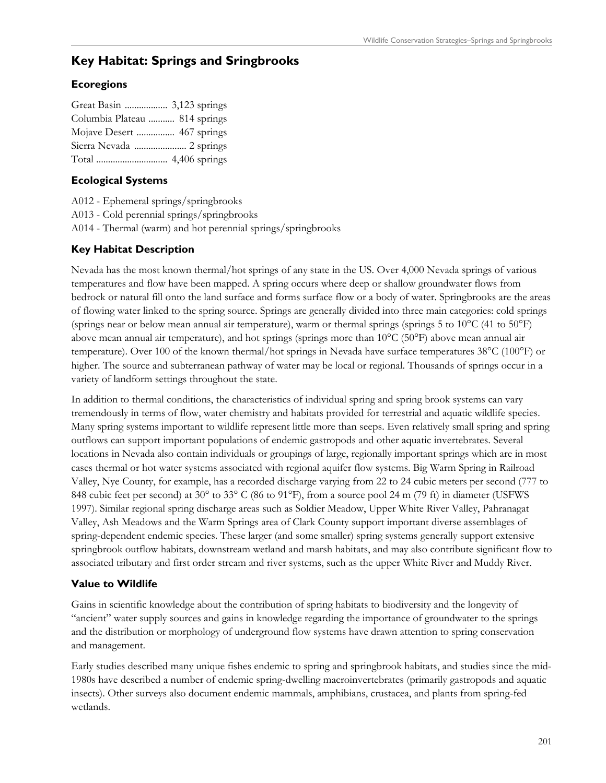# **Key Habitat: Springs and Sringbrooks**

# **Ecoregions**

| Great Basin  3,123 springs    |  |
|-------------------------------|--|
| Columbia Plateau  814 springs |  |
| Mojave Desert  467 springs    |  |
| Sierra Nevada  2 springs      |  |
|                               |  |

# **Ecological Systems**

- A012 Ephemeral springs/springbrooks
- A013 Cold perennial springs/springbrooks
- A014 Thermal (warm) and hot perennial springs/springbrooks

# **Key Habitat Description**

Nevada has the most known thermal/hot springs of any state in the US. Over 4,000 Nevada springs of various temperatures and flow have been mapped. A spring occurs where deep or shallow groundwater flows from bedrock or natural fill onto the land surface and forms surface flow or a body of water. Springbrooks are the areas of flowing water linked to the spring source. Springs are generally divided into three main categories: cold springs (springs near or below mean annual air temperature), warm or thermal springs (springs 5 to 10°C (41 to 50°F) above mean annual air temperature), and hot springs (springs more than 10°C (50°F) above mean annual air temperature). Over 100 of the known thermal/hot springs in Nevada have surface temperatures 38°C (100°F) or higher. The source and subterranean pathway of water may be local or regional. Thousands of springs occur in a variety of landform settings throughout the state.

In addition to thermal conditions, the characteristics of individual spring and spring brook systems can vary tremendously in terms of flow, water chemistry and habitats provided for terrestrial and aquatic wildlife species. Many spring systems important to wildlife represent little more than seeps. Even relatively small spring and spring outflows can support important populations of endemic gastropods and other aquatic invertebrates. Several locations in Nevada also contain individuals or groupings of large, regionally important springs which are in most cases thermal or hot water systems associated with regional aquifer flow systems. Big Warm Spring in Railroad Valley, Nye County, for example, has a recorded discharge varying from 22 to 24 cubic meters per second (777 to 848 cubic feet per second) at 30° to 33° C (86 to 91°F), from a source pool 24 m (79 ft) in diameter (USFWS 1997). Similar regional spring discharge areas such as Soldier Meadow, Upper White River Valley, Pahranagat Valley, Ash Meadows and the Warm Springs area of Clark County support important diverse assemblages of spring-dependent endemic species. These larger (and some smaller) spring systems generally support extensive springbrook outflow habitats, downstream wetland and marsh habitats, and may also contribute significant flow to associated tributary and first order stream and river systems, such as the upper White River and Muddy River.

# **Value to Wildlife**

Gains in scientific knowledge about the contribution of spring habitats to biodiversity and the longevity of "ancient" water supply sources and gains in knowledge regarding the importance of groundwater to the springs and the distribution or morphology of underground flow systems have drawn attention to spring conservation and management.

Early studies described many unique fishes endemic to spring and springbrook habitats, and studies since the mid-1980s have described a number of endemic spring-dwelling macroinvertebrates (primarily gastropods and aquatic insects). Other surveys also document endemic mammals, amphibians, crustacea, and plants from spring-fed wetlands.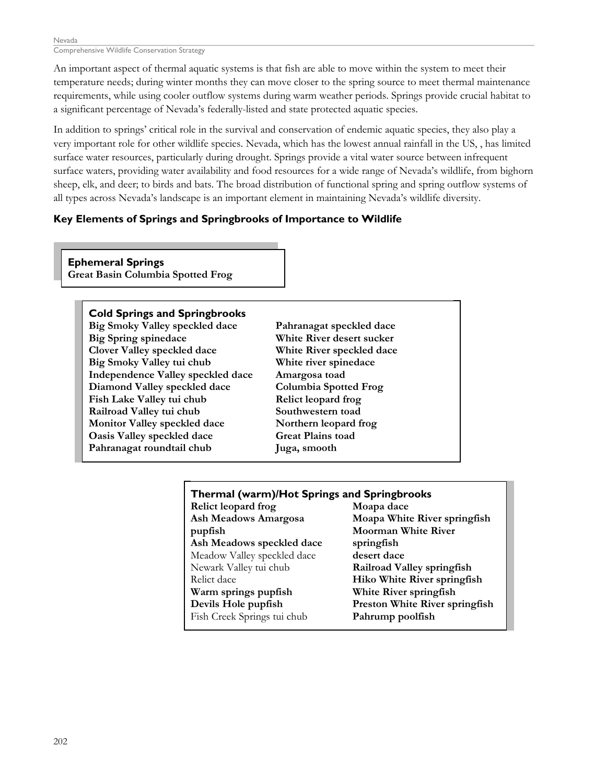An important aspect of thermal aquatic systems is that fish are able to move within the system to meet their temperature needs; during winter months they can move closer to the spring source to meet thermal maintenance requirements, while using cooler outflow systems during warm weather periods. Springs provide crucial habitat to a significant percentage of Nevada's federally-listed and state protected aquatic species.

In addition to springs' critical role in the survival and conservation of endemic aquatic species, they also play a very important role for other wildlife species. Nevada, which has the lowest annual rainfall in the US, , has limited surface water resources, particularly during drought. Springs provide a vital water source between infrequent surface waters, providing water availability and food resources for a wide range of Nevada's wildlife, from bighorn sheep, elk, and deer; to birds and bats. The broad distribution of functional spring and spring outflow systems of all types across Nevada's landscape is an important element in maintaining Nevada's wildlife diversity.

# **Key Elements of Springs and Springbrooks of Importance to Wildlife**

**Ephemeral Springs Great Basin Columbia Spotted Frog**

### **Cold Springs and Springbrooks**

**Big Smoky Valley speckled dace Big Spring spinedace Clover Valley speckled dace Big Smoky Valley tui chub Independence Valley speckled dace Diamond Valley speckled dace Fish Lake Valley tui chub Railroad Valley tui chub Monitor Valley speckled dace Oasis Valley speckled dace Pahranagat roundtail chub**

**Pahranagat speckled dace White River desert sucker White River speckled dace White river spinedace Amargosa toad Columbia Spotted Frog Relict leopard frog Southwestern toad Northern leopard frog Great Plains toad Juga, smooth**

### **Thermal (warm)/Hot Springs and Springbrooks**

**Relict leopard frog Ash Meadows Amargosa pupfish Ash Meadows speckled dace** Meadow Valley speckled dace Newark Valley tui chub Relict dace **Warm springs pupfish Devils Hole pupfish** Fish Creek Springs tui chub

**Moapa dace Moapa White River springfish Moorman White River springfish desert dace Railroad Valley springfish Hiko White River springfish White River springfish Preston White River springfish Pahrump poolfish**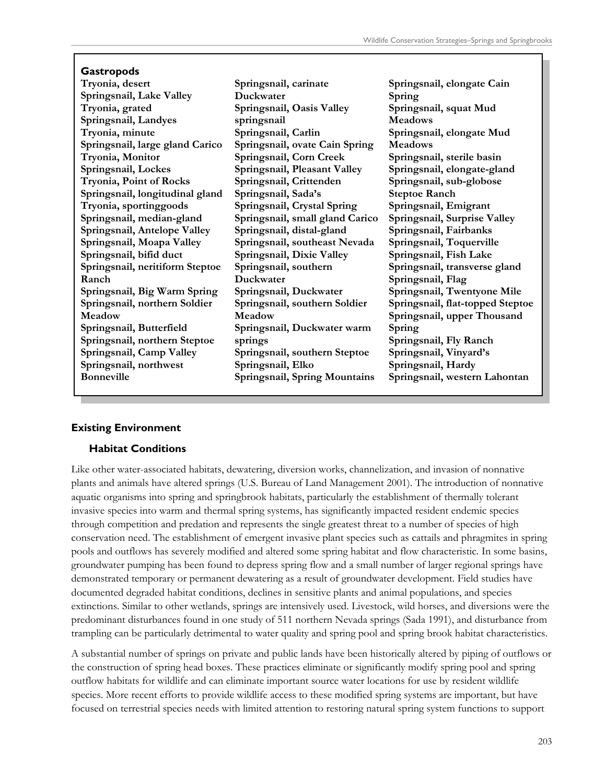| <b>Gastropods</b>               |                                 |                                  |
|---------------------------------|---------------------------------|----------------------------------|
| Tryonia, desert                 | Springsnail, carinate           | Springsnail, elongate Cain       |
| Springsnail, Lake Valley        | Duckwater                       | Spring                           |
| Tryonia, grated                 | Springsnail, Oasis Valley       | Springsnail, squat Mud           |
| Springsnail, Landyes            | springsnail                     | <b>Meadows</b>                   |
| Tryonia, minute                 | Springsnail, Carlin             | Springsnail, elongate Mud        |
| Springsnail, large gland Carico | Springsnail, ovate Cain Spring  | <b>Meadows</b>                   |
| Tryonia, Monitor                | Springsnail, Corn Creek         | Springsnail, sterile basin       |
| Springsnail, Lockes             | Springsnail, Pleasant Valley    | Springsnail, elongate-gland      |
| Tryonia, Point of Rocks         | Springsnail, Crittenden         | Springsnail, sub-globose         |
| Springsnail, longitudinal gland | Springsnail, Sada's             | <b>Steptoe Ranch</b>             |
| Tryonia, sportinggoods          | Springsnail, Crystal Spring     | Springsnail, Emigrant            |
| Springsnail, median-gland       | Springsnail, small gland Carico | Springsnail, Surprise Valley     |
| Springsnail, Antelope Valley    | Springsnail, distal-gland       | Springsnail, Fairbanks           |
| Springsnail, Moapa Valley       | Springsnail, southeast Nevada   | Springsnail, Toquerville         |
| Springsnail, bifid duct         | Springsnail, Dixie Valley       | Springsnail, Fish Lake           |
| Springsnail, neritiform Steptoe | Springsnail, southern           | Springsnail, transverse gland    |
| Ranch                           | Duckwater                       | Springsnail, Flag                |
| Springsnail, Big Warm Spring    | Springsnail, Duckwater          | Springsnail, Twentyone Mile      |
| Springsnail, northern Soldier   | Springsnail, southern Soldier   | Springsnail, flat-topped Steptoe |
| Meadow                          | Meadow                          | Springsnail, upper Thousand      |
| Springsnail, Butterfield        | Springsnail, Duckwater warm     | Spring                           |
| Springsnail, northern Steptoe   | springs                         | Springsnail, Fly Ranch           |
| Springsnail, Camp Valley        | Springsnail, southern Steptoe   | Springsnail, Vinyard's           |
| Springsnail, northwest          | Springsnail, Elko               | Springsnail, Hardy               |
| <b>Bonneville</b>               | Springsnail, Spring Mountains   | Springsnail, western Lahontan    |

### **Existing Environment**

#### **Habitat Conditions**

Like other water-associated habitats, dewatering, diversion works, channelization, and invasion of nonnative plants and animals have altered springs (U.S. Bureau of Land Management 2001). The introduction of nonnative aquatic organisms into spring and springbrook habitats, particularly the establishment of thermally tolerant invasive species into warm and thermal spring systems, has significantly impacted resident endemic species through competition and predation and represents the single greatest threat to a number of species of high conservation need. The establishment of emergent invasive plant species such as cattails and phragmites in spring pools and outflows has severely modified and altered some spring habitat and flow characteristic. In some basins, groundwater pumping has been found to depress spring flow and a small number of larger regional springs have demonstrated temporary or permanent dewatering as a result of groundwater development. Field studies have documented degraded habitat conditions, declines in sensitive plants and animal populations, and species extinctions. Similar to other wetlands, springs are intensively used. Livestock, wild horses, and diversions were the predominant disturbances found in one study of 511 northern Nevada springs (Sada 1991), and disturbance from trampling can be particularly detrimental to water quality and spring pool and spring brook habitat characteristics.

A substantial number of springs on private and public lands have been historically altered by piping of outflows or the construction of spring head boxes. These practices eliminate or significantly modify spring pool and spring outflow habitats for wildlife and can eliminate important source water locations for use by resident wildlife species. More recent efforts to provide wildlife access to these modified spring systems are important, but have focused on terrestrial species needs with limited attention to restoring natural spring system functions to support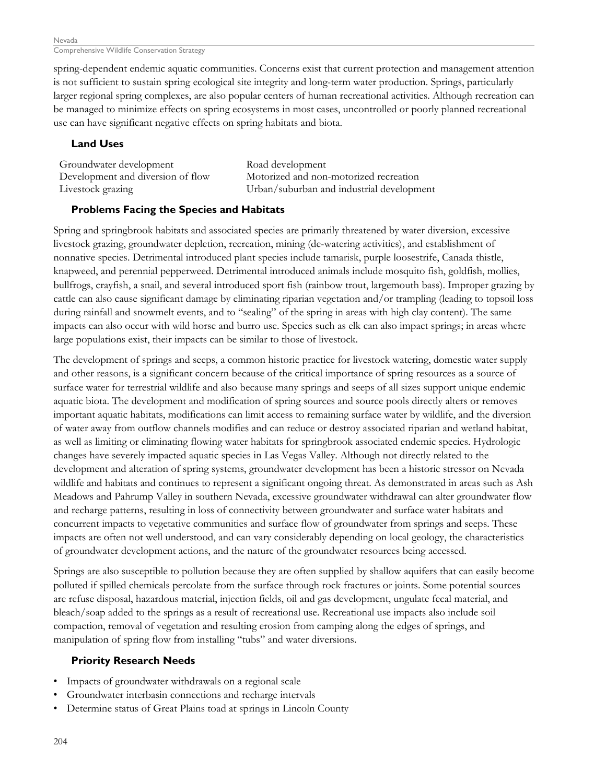spring-dependent endemic aquatic communities. Concerns exist that current protection and management attention is not sufficient to sustain spring ecological site integrity and long-term water production. Springs, particularly larger regional spring complexes, are also popular centers of human recreational activities. Although recreation can be managed to minimize effects on spring ecosystems in most cases, uncontrolled or poorly planned recreational use can have significant negative effects on spring habitats and biota.

### **Land Uses**

| Groundwater development           | Road development                          |
|-----------------------------------|-------------------------------------------|
| Development and diversion of flow | Motorized and non-motorized recreation    |
| Livestock grazing                 | Urban/suburban and industrial development |

### **Problems Facing the Species and Habitats**

Spring and springbrook habitats and associated species are primarily threatened by water diversion, excessive livestock grazing, groundwater depletion, recreation, mining (de-watering activities), and establishment of nonnative species. Detrimental introduced plant species include tamarisk, purple loosestrife, Canada thistle, knapweed, and perennial pepperweed. Detrimental introduced animals include mosquito fish, goldfish, mollies, bullfrogs, crayfish, a snail, and several introduced sport fish (rainbow trout, largemouth bass). Improper grazing by cattle can also cause significant damage by eliminating riparian vegetation and/or trampling (leading to topsoil loss during rainfall and snowmelt events, and to "sealing" of the spring in areas with high clay content). The same impacts can also occur with wild horse and burro use. Species such as elk can also impact springs; in areas where large populations exist, their impacts can be similar to those of livestock.

The development of springs and seeps, a common historic practice for livestock watering, domestic water supply and other reasons, is a significant concern because of the critical importance of spring resources as a source of surface water for terrestrial wildlife and also because many springs and seeps of all sizes support unique endemic aquatic biota. The development and modification of spring sources and source pools directly alters or removes important aquatic habitats, modifications can limit access to remaining surface water by wildlife, and the diversion of water away from outflow channels modifies and can reduce or destroy associated riparian and wetland habitat, as well as limiting or eliminating flowing water habitats for springbrook associated endemic species. Hydrologic changes have severely impacted aquatic species in Las Vegas Valley. Although not directly related to the development and alteration of spring systems, groundwater development has been a historic stressor on Nevada wildlife and habitats and continues to represent a significant ongoing threat. As demonstrated in areas such as Ash Meadows and Pahrump Valley in southern Nevada, excessive groundwater withdrawal can alter groundwater flow and recharge patterns, resulting in loss of connectivity between groundwater and surface water habitats and concurrent impacts to vegetative communities and surface flow of groundwater from springs and seeps. These impacts are often not well understood, and can vary considerably depending on local geology, the characteristics of groundwater development actions, and the nature of the groundwater resources being accessed.

Springs are also susceptible to pollution because they are often supplied by shallow aquifers that can easily become polluted if spilled chemicals percolate from the surface through rock fractures or joints. Some potential sources are refuse disposal, hazardous material, injection fields, oil and gas development, ungulate fecal material, and bleach/soap added to the springs as a result of recreational use. Recreational use impacts also include soil compaction, removal of vegetation and resulting erosion from camping along the edges of springs, and manipulation of spring flow from installing "tubs" and water diversions.

### **Priority Research Needs**

- Impacts of groundwater withdrawals on a regional scale
- Groundwater interbasin connections and recharge intervals
- Determine status of Great Plains toad at springs in Lincoln County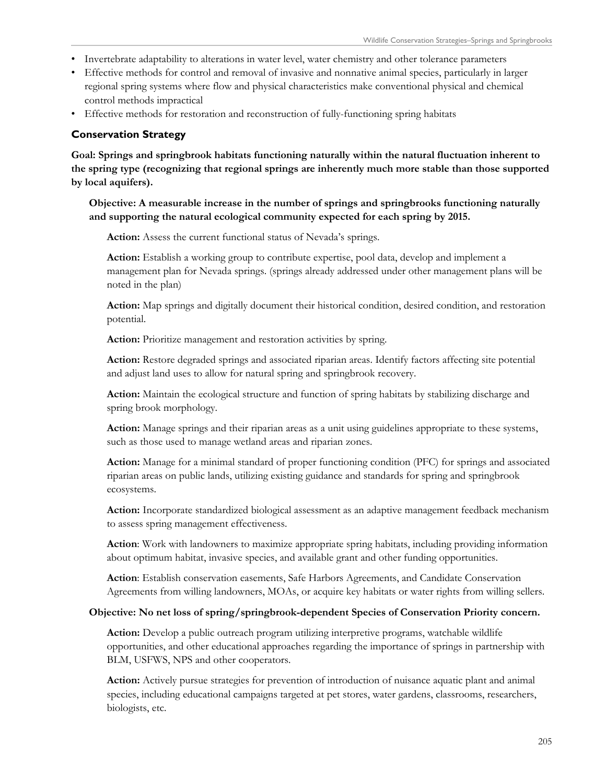- Invertebrate adaptability to alterations in water level, water chemistry and other tolerance parameters
- Effective methods for control and removal of invasive and nonnative animal species, particularly in larger regional spring systems where flow and physical characteristics make conventional physical and chemical control methods impractical
- Effective methods for restoration and reconstruction of fully-functioning spring habitats

#### **Conservation Strategy**

**Goal: Springs and springbrook habitats functioning naturally within the natural fluctuation inherent to the spring type (recognizing that regional springs are inherently much more stable than those supported by local aquifers).**

### **Objective: A measurable increase in the number of springs and springbrooks functioning naturally and supporting the natural ecological community expected for each spring by 2015.**

**Action:** Assess the current functional status of Nevada's springs.

**Action:** Establish a working group to contribute expertise, pool data, develop and implement a management plan for Nevada springs. (springs already addressed under other management plans will be noted in the plan)

**Action:** Map springs and digitally document their historical condition, desired condition, and restoration potential.

Action: Prioritize management and restoration activities by spring.

**Action:** Restore degraded springs and associated riparian areas. Identify factors affecting site potential and adjust land uses to allow for natural spring and springbrook recovery.

**Action:** Maintain the ecological structure and function of spring habitats by stabilizing discharge and spring brook morphology.

**Action:** Manage springs and their riparian areas as a unit using guidelines appropriate to these systems, such as those used to manage wetland areas and riparian zones.

**Action:** Manage for a minimal standard of proper functioning condition (PFC) for springs and associated riparian areas on public lands, utilizing existing guidance and standards for spring and springbrook ecosystems.

**Action:** Incorporate standardized biological assessment as an adaptive management feedback mechanism to assess spring management effectiveness.

**Action**: Work with landowners to maximize appropriate spring habitats, including providing information about optimum habitat, invasive species, and available grant and other funding opportunities.

**Action**: Establish conservation easements, Safe Harbors Agreements, and Candidate Conservation Agreements from willing landowners, MOAs, or acquire key habitats or water rights from willing sellers.

#### **Objective: No net loss of spring/springbrook-dependent Species of Conservation Priority concern.**

**Action:** Develop a public outreach program utilizing interpretive programs, watchable wildlife opportunities, and other educational approaches regarding the importance of springs in partnership with BLM, USFWS, NPS and other cooperators.

**Action:** Actively pursue strategies for prevention of introduction of nuisance aquatic plant and animal species, including educational campaigns targeted at pet stores, water gardens, classrooms, researchers, biologists, etc.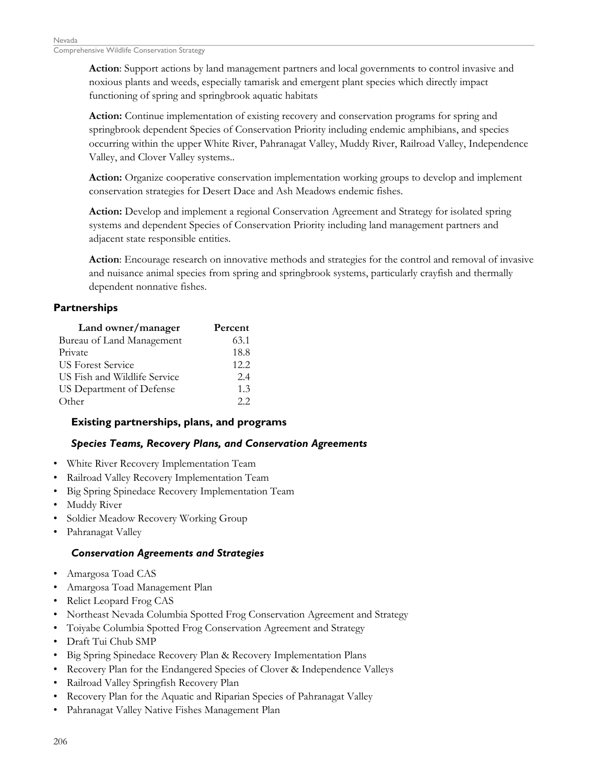**Action**: Support actions by land management partners and local governments to control invasive and noxious plants and weeds, especially tamarisk and emergent plant species which directly impact functioning of spring and springbrook aquatic habitats

**Action:** Continue implementation of existing recovery and conservation programs for spring and springbrook dependent Species of Conservation Priority including endemic amphibians, and species occurring within the upper White River, Pahranagat Valley, Muddy River, Railroad Valley, Independence Valley, and Clover Valley systems..

**Action:** Organize cooperative conservation implementation working groups to develop and implement conservation strategies for Desert Dace and Ash Meadows endemic fishes.

**Action:** Develop and implement a regional Conservation Agreement and Strategy for isolated spring systems and dependent Species of Conservation Priority including land management partners and adjacent state responsible entities.

**Action**: Encourage research on innovative methods and strategies for the control and removal of invasive and nuisance animal species from spring and springbrook systems, particularly crayfish and thermally dependent nonnative fishes.

### **Partnerships**

| Land owner/manager           | Percent |
|------------------------------|---------|
| Bureau of Land Management    | 63.1    |
| Private                      | 18.8    |
| <b>US Forest Service</b>     | 12.2.   |
| US Fish and Wildlife Service | 2.4     |
| US Department of Defense     | 1.3     |
| Other                        | 22      |

### **Existing partnerships, plans, and programs**

# *Species Teams, Recovery Plans, and Conservation Agreements*

- White River Recovery Implementation Team
- Railroad Valley Recovery Implementation Team
- Big Spring Spinedace Recovery Implementation Team
- Muddy River
- Soldier Meadow Recovery Working Group
- Pahranagat Valley

### *Conservation Agreements and Strategies*

- Amargosa Toad CAS
- Amargosa Toad Management Plan
- Relict Leopard Frog CAS
- Northeast Nevada Columbia Spotted Frog Conservation Agreement and Strategy
- Toiyabe Columbia Spotted Frog Conservation Agreement and Strategy
- Draft Tui Chub SMP
- Big Spring Spinedace Recovery Plan & Recovery Implementation Plans
- Recovery Plan for the Endangered Species of Clover & Independence Valleys
- Railroad Valley Springfish Recovery Plan
- Recovery Plan for the Aquatic and Riparian Species of Pahranagat Valley
- Pahranagat Valley Native Fishes Management Plan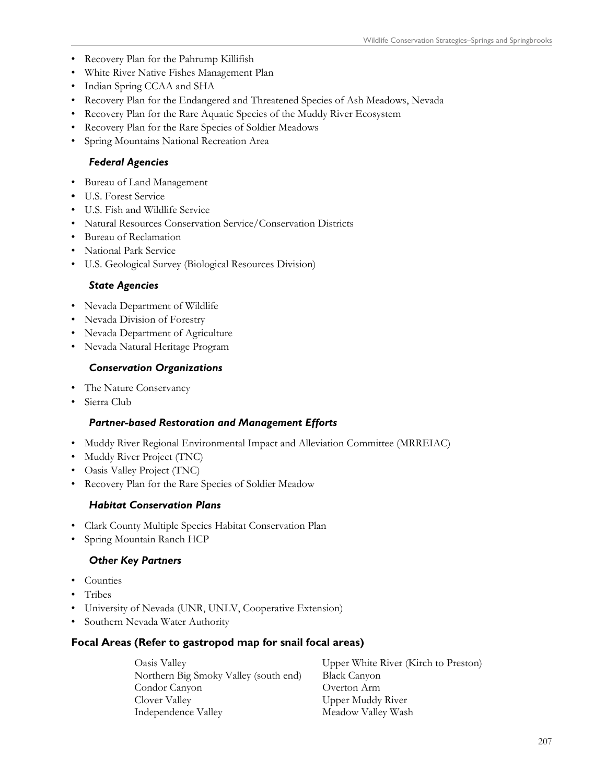- Recovery Plan for the Pahrump Killifish
- White River Native Fishes Management Plan
- Indian Spring CCAA and SHA
- Recovery Plan for the Endangered and Threatened Species of Ash Meadows, Nevada
- Recovery Plan for the Rare Aquatic Species of the Muddy River Ecosystem
- Recovery Plan for the Rare Species of Soldier Meadows
- Spring Mountains National Recreation Area

#### *Federal Agencies*

- Bureau of Land Management
- **•** U.S. Forest Service
- U.S. Fish and Wildlife Service
- Natural Resources Conservation Service/Conservation Districts
- Bureau of Reclamation
- National Park Service
- U.S. Geological Survey (Biological Resources Division)

#### *State Agencies*

- Nevada Department of Wildlife
- Nevada Division of Forestry
- Nevada Department of Agriculture
- Nevada Natural Heritage Program

### *Conservation Organizations*

- The Nature Conservancy
- Sierra Club

#### *Partner-based Restoration and Management Efforts*

- Muddy River Regional Environmental Impact and Alleviation Committee (MRREIAC)
- Muddy River Project (TNC)
- Oasis Valley Project (TNC)
- Recovery Plan for the Rare Species of Soldier Meadow

### *Habitat Conservation Plans*

- Clark County Multiple Species Habitat Conservation Plan
- Spring Mountain Ranch HCP

### *Other Key Partners*

- Counties
- Tribes
- University of Nevada (UNR, UNLV, Cooperative Extension)
- Southern Nevada Water Authority

### **Focal Areas (Refer to gastropod map for snail focal areas)**

Oasis Valley Upper White River (Kirch to Preston) Northern Big Smoky Valley (south end) Black Canyon Condor Canyon Overton Arm Clover Valley Upper Muddy River Independence Valley Meadow Valley Wash